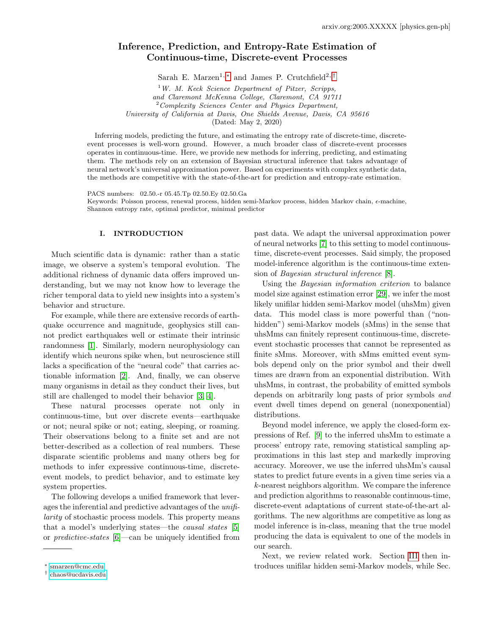# Inference, Prediction, and Entropy-Rate Estimation of Continuous-time, Discrete-event Processes

Sarah E. Marzen<sup>1, \*</sup> and James P. Crutchfield<sup>2, [†](#page-0-1)</sup>

<sup>1</sup>W. M. Keck Science Department of Pitzer, Scripps, and Claremont McKenna College, Claremont, CA 91711 <sup>2</sup> Complexity Sciences Center and Physics Department, University of California at Davis, One Shields Avenue, Davis, CA 95616

(Dated: May 2, 2020)

Inferring models, predicting the future, and estimating the entropy rate of discrete-time, discreteevent processes is well-worn ground. However, a much broader class of discrete-event processes operates in continuous-time. Here, we provide new methods for inferring, predicting, and estimating them. The methods rely on an extension of Bayesian structural inference that takes advantage of neural network's universal approximation power. Based on experiments with complex synthetic data, the methods are competitive with the state-of-the-art for prediction and entropy-rate estimation.

PACS numbers: 02.50.-r 05.45.Tp 02.50.Ey 02.50.Ga Keywords: Poisson process, renewal process, hidden semi-Markov process, hidden Markov chain,  $\epsilon$ -machine, Shannon entropy rate, optimal predictor, minimal predictor

# I. INTRODUCTION

Much scientific data is dynamic: rather than a static image, we observe a system's temporal evolution. The additional richness of dynamic data offers improved understanding, but we may not know how to leverage the richer temporal data to yield new insights into a system's behavior and structure.

For example, while there are extensive records of earthquake occurrence and magnitude, geophysics still cannot predict earthquakes well or estimate their intrinsic randomness [\[1\]](#page-9-0). Similarly, modern neurophysiology can identify which neurons spike when, but neuroscience still lacks a specification of the "neural code" that carries actionable information [\[2\]](#page-9-1). And, finally, we can observe many organisms in detail as they conduct their lives, but still are challenged to model their behavior [\[3,](#page-9-2) [4\]](#page-9-3).

These natural processes operate not only in continuous-time, but over discrete events—earthquake or not; neural spike or not; eating, sleeping, or roaming. Their observations belong to a finite set and are not better-described as a collection of real numbers. These disparate scientific problems and many others beg for methods to infer expressive continuous-time, discreteevent models, to predict behavior, and to estimate key system properties.

The following develops a unified framework that leverages the inferential and predictive advantages of the unifilarity of stochastic process models. This property means that a model's underlying states—the causal states [\[5\]](#page-9-4) or predictive-states [\[6\]](#page-9-5)—can be uniquely identified from

past data. We adapt the universal approximation power of neural networks [\[7\]](#page-9-6) to this setting to model continuoustime, discrete-event processes. Said simply, the proposed model-inference algorithm is the continuous-time extension of Bayesian structural inference [\[8\]](#page-9-7).

Using the Bayesian information criterion to balance model size against estimation error [\[29\]](#page-10-0), we infer the most likely unifilar hidden semi-Markov model (uhsMm) given data. This model class is more powerful than ("nonhidden") semi-Markov models (sMms) in the sense that uhsMms can finitely represent continuous-time, discreteevent stochastic processes that cannot be represented as finite sMms. Moreover, with sMms emitted event symbols depend only on the prior symbol and their dwell times are drawn from an exponential distribution. With uhsMms, in contrast, the probability of emitted symbols depends on arbitrarily long pasts of prior symbols and event dwell times depend on general (nonexponential) distributions.

Beyond model inference, we apply the closed-form expressions of Ref. [\[9\]](#page-9-8) to the inferred uhsMm to estimate a process' entropy rate, removing statistical sampling approximations in this last step and markedly improving accuracy. Moreover, we use the inferred uhsMm's causal states to predict future events in a given time series via a k-nearest neighbors algorithm. We compare the inference and prediction algorithms to reasonable continuous-time, discrete-event adaptations of current state-of-the-art algorithms. The new algorithms are competitive as long as model inference is in-class, meaning that the true model producing the data is equivalent to one of the models in our search.

Next, we review related work. Section [III](#page-1-0) then introduces unifilar hidden semi-Markov models, while Sec.

<span id="page-0-0"></span><sup>∗</sup> [smarzen@cmc.edu](mailto:smarzen@cmc.edu)

<span id="page-0-1"></span><sup>†</sup> [chaos@ucdavis.edu](mailto:chaos@ucdavis.edu)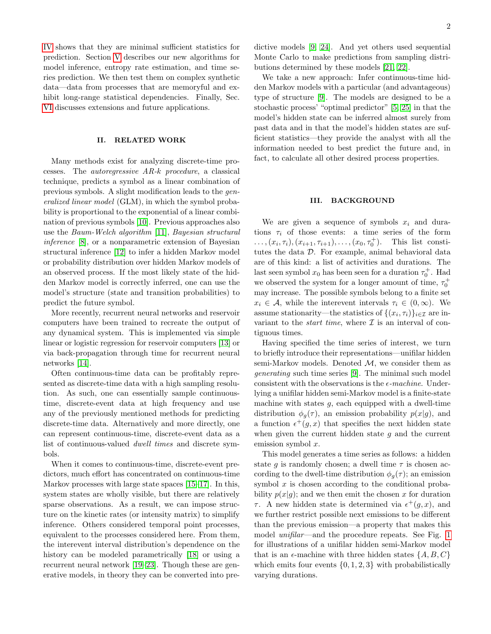[IV](#page-2-0) shows that they are minimal sufficient statistics for prediction. Section [V](#page-3-0) describes our new algorithms for model inference, entropy rate estimation, and time series prediction. We then test them on complex synthetic data—data from processes that are memoryful and exhibit long-range statistical dependencies. Finally, Sec. [VI](#page-9-9) discusses extensions and future applications.

### II. RELATED WORK

Many methods exist for analyzing discrete-time processes. The autoregressive AR-k procedure, a classical technique, predicts a symbol as a linear combination of previous symbols. A slight modification leads to the generalized linear model (GLM), in which the symbol probability is proportional to the exponential of a linear combination of previous symbols [\[10\]](#page-9-10). Previous approaches also use the Baum-Welch algorithm [\[11\]](#page-9-11), Bayesian structural inference [\[8\]](#page-9-7), or a nonparametric extension of Bayesian structural inference [\[12\]](#page-9-12) to infer a hidden Markov model or probability distribution over hidden Markov models of an observed process. If the most likely state of the hidden Markov model is correctly inferred, one can use the model's structure (state and transition probabilities) to predict the future symbol.

More recently, recurrent neural networks and reservoir computers have been trained to recreate the output of any dynamical system. This is implemented via simple linear or logistic regression for reservoir computers [\[13\]](#page-9-13) or via back-propagation through time for recurrent neural networks [\[14\]](#page-9-14).

Often continuous-time data can be profitably represented as discrete-time data with a high sampling resolution. As such, one can essentially sample continuoustime, discrete-event data at high frequency and use any of the previously mentioned methods for predicting discrete-time data. Alternatively and more directly, one can represent continuous-time, discrete-event data as a list of continuous-valued dwell times and discrete symbols.

When it comes to continuous-time, discrete-event predictors, much effort has concentrated on continuous-time Markov processes with large state spaces [\[15–](#page-9-15)[17\]](#page-9-16). In this, system states are wholly visible, but there are relatively sparse observations. As a result, we can impose structure on the kinetic rates (or intensity matrix) to simplify inference. Others considered temporal point processes, equivalent to the processes considered here. From them, the interevent interval distribution's dependence on the history can be modeled parametrically [\[18\]](#page-10-1) or using a recurrent neural network [\[19](#page-10-2)[–23\]](#page-10-3). Though these are generative models, in theory they can be converted into predictive models [\[9,](#page-9-8) [24\]](#page-10-4). And yet others used sequential Monte Carlo to make predictions from sampling distributions determined by these models [\[21,](#page-10-5) [22\]](#page-10-6).

We take a new approach: Infer continuous-time hidden Markov models with a particular (and advantageous) type of structure [\[9\]](#page-9-8). The models are designed to be a stochastic process' "optimal predictor" [\[5,](#page-9-4) [25\]](#page-10-7) in that the model's hidden state can be inferred almost surely from past data and in that the model's hidden states are sufficient statistics—they provide the analyst with all the information needed to best predict the future and, in fact, to calculate all other desired process properties.

#### <span id="page-1-0"></span>III. BACKGROUND

We are given a sequence of symbols  $x_i$  and durations  $\tau_i$  of those events: a time series of the form  $\ldots, (x_i, \tau_i), (x_{i+1}, \tau_{i+1}), \ldots, (x_0, \tau_0^+).$  This list constitutes the data D. For example, animal behavioral data are of this kind: a list of activities and durations. The last seen symbol  $x_0$  has been seen for a duration  $\tau_0^+$ . Had we observed the system for a longer amount of time,  $\tau_0^+$ may increase. The possible symbols belong to a finite set  $x_i \in \mathcal{A}$ , while the interevent intervals  $\tau_i \in (0, \infty)$ . We assume stationarity—the statistics of  $\{(x_i, \tau_i)\}_{i \in \mathcal{I}}$  are invariant to the *start time*, where  $\mathcal I$  is an interval of contiguous times.

Having specified the time series of interest, we turn to briefly introduce their representations—unifilar hidden semi-Markov models. Denoted  $\mathcal{M}$ , we consider them as generating such time series [\[9\]](#page-9-8). The minimal such model consistent with the observations is the  $\epsilon$ -machine. Underlying a unifilar hidden semi-Markov model is a finite-state machine with states  $g$ , each equipped with a dwell-time distribution  $\phi_g(\tau)$ , an emission probability  $p(x|g)$ , and a function  $\epsilon^+(g, x)$  that specifies the next hidden state when given the current hidden state  $g$  and the current emission symbol x.

This model generates a time series as follows: a hidden state g is randomly chosen; a dwell time  $\tau$  is chosen according to the dwell-time distribution  $\phi_q(\tau)$ ; an emission symbol  $x$  is chosen according to the conditional probability  $p(x|g)$ ; and we then emit the chosen x for duration τ. A new hidden state is determined via  $\epsilon^+(g, x)$ , and we further restrict possible next emissions to be different than the previous emission—a property that makes this model unifilar—and the procedure repeats. See Fig. [1](#page-2-1) for illustrations of a unifilar hidden semi-Markov model that is an  $\epsilon$ -machine with three hidden states  $\{A, B, C\}$ which emits four events  $\{0, 1, 2, 3\}$  with probabilistically varying durations.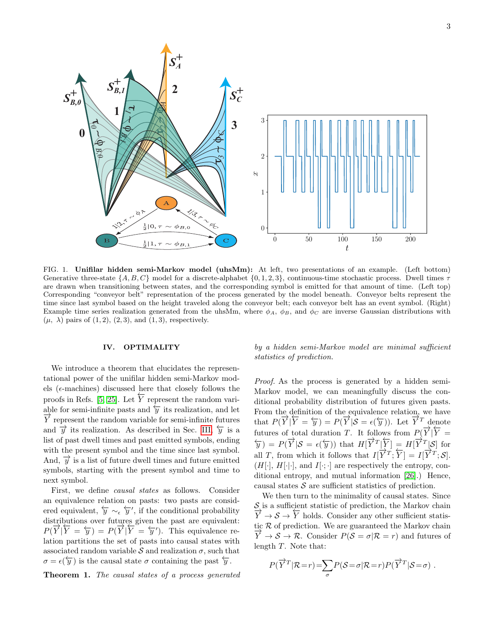

<span id="page-2-1"></span>FIG. 1. Unifilar hidden semi-Markov model (uhsMm): At left, two presentations of an example. (Left bottom) Generative three-state  $\{A, B, C\}$  model for a discrete-alphabet  $\{0, 1, 2, 3\}$ , continuous-time stochastic process. Dwell times  $\tau$ are drawn when transitioning between states, and the corresponding symbol is emitted for that amount of time. (Left top) Corresponding "conveyor belt" representation of the process generated by the model beneath. Conveyor belts represent the time since last symbol based on the height traveled along the conveyor belt; each conveyor belt has an event symbol. (Right) Example time series realization generated from the uhsMm, where  $\phi_A$ ,  $\phi_B$ , and  $\phi_C$  are inverse Gaussian distributions with  $(\mu, \lambda)$  pairs of  $(1, 2), (2, 3),$  and  $(1, 3)$ , respectively.

#### <span id="page-2-0"></span>IV. OPTIMALITY

We introduce a theorem that elucidates the representational power of the unifilar hidden semi-Markov models ( $\epsilon$ -machines) discussed here that closely follows the proofs in Refs. [\[5,](#page-9-4) [25\]](#page-10-7). Let  $\overleftarrow{Y}$  represent the random variable for semi-infinite pasts and  $\overleftarrow{y}$  its realization, and let  $\overrightarrow{Y}$  represent the random variable for semi-infinite futures and  $\vec{y}$  its realization. As described in Sec. [III,](#page-1-0)  $\vec{y}$  is a list of past dwell times and past emitted symbols, ending with the present symbol and the time since last symbol. And,  $\vec{y}$  is a list of future dwell times and future emitted symbols, starting with the present symbol and time to next symbol.

First, we define causal states as follows. Consider an equivalence relation on pasts: two pasts are considered equivalent,  $\overleftarrow{y} \sim_{\epsilon} \overleftarrow{y}'$ , if the conditional probability distributions over futures given the past are equivalent:  $P(\overrightarrow{Y}|\overleftarrow{Y} = \overleftarrow{y}) = P(\overrightarrow{Y}|\overleftarrow{Y} = \overleftarrow{y}')$ . This equivalence relation partitions the set of pasts into causal states with associated random variable S and realization  $\sigma$ , such that  $\sigma = \epsilon(\overleftarrow{y})$  is the causal state  $\sigma$  containing the past  $\overleftarrow{y}$ .

Theorem 1. The causal states of a process generated

by a hidden semi-Markov model are minimal sufficient statistics of prediction.

Proof. As the process is generated by a hidden semi-Markov model, we can meaningfully discuss the conditional probability distribution of futures given pasts. From the definition of the equivalence relation, we have that  $P(\overrightarrow{Y}|\overleftarrow{Y}=\overleftarrow{y})=P(\overrightarrow{Y}|\mathcal{S}=\epsilon(\overleftarrow{y}))$ . Let  $\overrightarrow{Y}^T$  denote futures of total duration T. It follows from  $P(\overrightarrow{Y}|\overleftarrow{Y})$  $\overleftarrow{y}$  =  $P(\overrightarrow{Y} | S = \epsilon(\overleftarrow{y}))$  that  $H[\overrightarrow{Y}^T \underline{Y}] = H[\overrightarrow{Y}^T S]$  for all T, from which it follows that  $I[\overrightarrow{Y}^T; \overleftarrow{Y}] = I[\overrightarrow{Y}^T; \mathcal{S}].$  $(H[\cdot], H[\cdot], \text{ and } I[\cdot; \cdot]$  are respectively the entropy, conditional entropy, and mutual information [\[26\]](#page-10-8).) Hence, causal states  $S$  are sufficient statistics of prediction.

We then turn to the minimality of causal states. Since  $S_i$  is a sufficient statistic of prediction, the Markov chain  $S$  is a sufficient statistic of prediction, the Markov chain  $\overrightarrow{Y} \rightarrow S \rightarrow \overleftarrow{Y}$  holds. Consider any other sufficient statistic R of prediction. We are guaranteed the Markov chain  $\overrightarrow{Y} \rightarrow S \rightarrow \mathcal{R}$ . Consider  $P(S = \sigma | \mathcal{R} = r)$  and futures of length T. Note that:

$$
P(\overrightarrow{Y}^T | \mathcal{R} = r) = \sum_{\sigma} P(\mathcal{S} = \sigma | \mathcal{R} = r) P(\overrightarrow{Y}^T | \mathcal{S} = \sigma) .
$$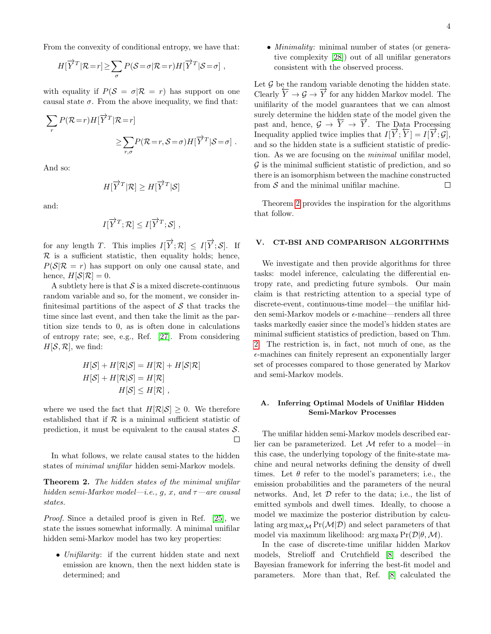From the convexity of conditional entropy, we have that:

$$
H[\overrightarrow{Y}^T | \mathcal{R} = r] \geq \sum_{\sigma} P(\mathcal{S} = \sigma | \mathcal{R} = r) H[\overrightarrow{Y}^T | \mathcal{S} = \sigma],
$$

with equality if  $P(S = \sigma | R = r)$  has support on one causal state  $\sigma$ . From the above inequality, we find that:

$$
\sum_{r} P(\mathcal{R}=r) H[\overrightarrow{Y}^T | \mathcal{R}=r]
$$
  

$$
\geq \sum_{r,\sigma} P(\mathcal{R}=r, \mathcal{S}=\sigma) H[\overrightarrow{Y}^T | \mathcal{S}=\sigma].
$$

And so:

$$
H[\overrightarrow{Y}^T | \mathcal{R}] \geq H[\overrightarrow{Y}^T | \mathcal{S}]
$$

and:

$$
I[\overrightarrow{Y}^T; \mathcal{R}] \leq I[\overrightarrow{Y}^T; \mathcal{S}],
$$

for any length T. This implies  $I[\overrightarrow{Y}; \mathcal{R}] \leq I[\overrightarrow{Y}; \mathcal{S}]$ . If  $\mathcal R$  is a sufficient statistic, then equality holds; hence,  $P(S|\mathcal{R}=r)$  has support on only one causal state, and hence,  $H[S|\mathcal{R}] = 0$ .

A subtlety here is that  $S$  is a mixed discrete-continuous random variable and so, for the moment, we consider infinitesimal partitions of the aspect of  $S$  that tracks the time since last event, and then take the limit as the partition size tends to 0, as is often done in calculations of entropy rate; see, e.g., Ref. [\[27\]](#page-10-9). From considering  $H[\mathcal{S}, \mathcal{R}]$ , we find:

$$
H[S] + H[\mathcal{R}|\mathcal{S}] = H[\mathcal{R}] + H[\mathcal{S}|\mathcal{R}]
$$
  

$$
H[S] + H[\mathcal{R}|\mathcal{S}] = H[\mathcal{R}]
$$
  

$$
H[S] \le H[\mathcal{R}],
$$

where we used the fact that  $H[\mathcal{R}|\mathcal{S}] \geq 0$ . We therefore established that if  $R$  is a minimal sufficient statistic of prediction, it must be equivalent to the causal states  $S$ .

In what follows, we relate causal states to the hidden states of minimal unifilar hidden semi-Markov models.

<span id="page-3-1"></span>Theorem 2. The hidden states of the minimal unifilar hidden semi-Markov model—i.e., g, x, and  $\tau$ —are causal states.

Proof. Since a detailed proof is given in Ref. [\[25\]](#page-10-7), we state the issues somewhat informally. A minimal unifilar hidden semi-Markov model has two key properties:

• Unifilarity: if the current hidden state and next emission are known, then the next hidden state is determined; and

• *Minimality*: minimal number of states (or generative complexity [\[28\]](#page-10-10)) out of all unifilar generators consistent with the observed process.

Let  $\mathcal G$  be the random variable denoting the hidden state. Clearly  $\overleftarrow{Y} \to \mathcal{G} \to \overrightarrow{Y}$  for any hidden Markov model. The unifilarity of the model guarantees that we can almost surely determine the hidden state of the model given the past and, hence,  $\mathcal{G} \to \overleftarrow{Y} \to \overrightarrow{Y}$ . The Data Processing Inequality applied twice implies that  $I[\overrightarrow{Y};\overleftarrow{Y}] = I[\overrightarrow{Y};\mathcal{G}],$ and so the hidden state is a sufficient statistic of prediction. As we are focusing on the minimal unifilar model,  $\mathcal G$  is the minimal sufficient statistic of prediction, and so there is an isomorphism between the machine constructed from  $S$  and the minimal unifilar machine.  $\Box$ 

Theorem [2](#page-3-1) provides the inspiration for the algorithms that follow.

#### <span id="page-3-0"></span>V. CT-BSI AND COMPARISON ALGORITHMS

We investigate and then provide algorithms for three tasks: model inference, calculating the differential entropy rate, and predicting future symbols. Our main claim is that restricting attention to a special type of discrete-event, continuous-time model—the unifilar hidden semi-Markov models or  $\epsilon$ -machine—renders all three tasks markedly easier since the model's hidden states are minimal sufficient statistics of prediction, based on Thm. [2.](#page-3-1) The restriction is, in fact, not much of one, as the  $\epsilon$ -machines can finitely represent an exponentially larger set of processes compared to those generated by Markov and semi-Markov models.

### A. Inferring Optimal Models of Unifilar Hidden Semi-Markov Processes

The unifilar hidden semi-Markov models described earlier can be parameterized. Let  $\mathcal M$  refer to a model—in this case, the underlying topology of the finite-state machine and neural networks defining the density of dwell times. Let  $\theta$  refer to the model's parameters; i.e., the emission probabilities and the parameters of the neural networks. And, let  $D$  refer to the data; i.e., the list of emitted symbols and dwell times. Ideally, to choose a model we maximize the posterior distribution by calculating arg  $\max_{\mathcal{M}} \Pr(\mathcal{M}|\mathcal{D})$  and select parameters of that model via maximum likelihood:  $\arg \max_{\theta} \Pr(\mathcal{D}|\theta, \mathcal{M}).$ 

In the case of discrete-time unifilar hidden Markov models, Strelioff and Crutchfield [\[8\]](#page-9-7) described the Bayesian framework for inferring the best-fit model and parameters. More than that, Ref. [\[8\]](#page-9-7) calculated the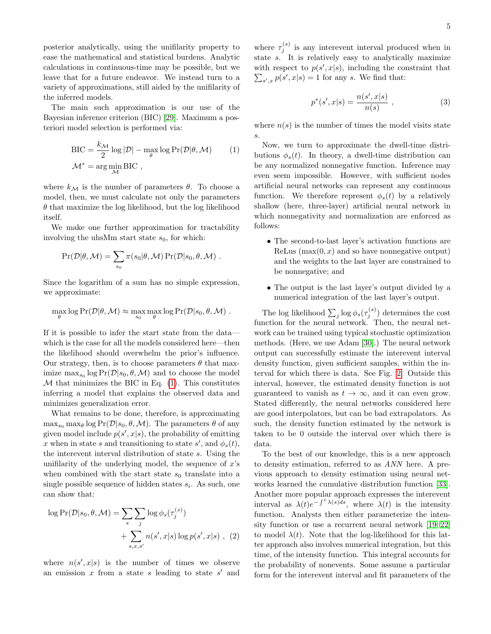posterior analytically, using the unifilarity property to ease the mathematical and statistical burdens. Analytic calculations in continuous-time may be possible, but we leave that for a future endeavor. We instead turn to a variety of approximations, still aided by the unifilarity of the inferred models.

The main such approximation is our use of the Bayesian inference criterion (BIC) [\[29\]](#page-10-0). Maximum a posteriori model selection is performed via:

$$
BIC = \frac{k_{\mathcal{M}}}{2} \log |\mathcal{D}| - \max_{\theta} \log \Pr(\mathcal{D}|\theta, \mathcal{M}) \qquad (1)
$$

$$
\mathcal{M}^* = \arg\min_{\mathcal{M}} BIC,
$$

where  $k_{\mathcal{M}}$  is the number of parameters  $\theta$ . To choose a model, then, we must calculate not only the parameters  $\theta$  that maximize the log likelihood, but the log likelihood itself.

We make one further approximation for tractability involving the uhsMm start state  $s_0$ , for which:

$$
\Pr(\mathcal{D}|\theta, \mathcal{M}) = \sum_{s_0} \pi(s_0|\theta, \mathcal{M}) \Pr(\mathcal{D}|s_0, \theta, \mathcal{M}) .
$$

Since the logarithm of a sum has no simple expression, we approximate:

$$
\max_{\theta} \log \Pr(\mathcal{D}|\theta, \mathcal{M}) \approx \max_{s_0} \max_{\theta} \log \Pr(\mathcal{D}|s_0, \theta, \mathcal{M}).
$$

If it is possible to infer the start state from the data which is the case for all the models considered here—then the likelihood should overwhelm the prior's influence. Our strategy, then, is to choose parameters  $\theta$  that maximize  $\max_{s_0} \log \Pr(\mathcal{D}|s_0, \theta, \mathcal{M})$  and to choose the model  $M$  that minimizes the BIC in Eq.  $(1)$ . This constitutes inferring a model that explains the observed data and minimizes generalization error.

What remains to be done, therefore, is approximating  $\max_{s_0} \max_{\theta} \log \Pr(\mathcal{D}|s_0, \theta, \mathcal{M})$ . The parameters  $\theta$  of any given model include  $p(s', x|s)$ , the probability of emitting x when in state s and transitioning to state s', and  $\phi_s(t)$ , the interevent interval distribution of state s. Using the unifilarity of the underlying model, the sequence of  $x$ 's when combined with the start state  $s_0$  translate into a single possible sequence of hidden states  $s_i$ . As such, one can show that:

$$
\log \Pr(\mathcal{D}|s_0, \theta, \mathcal{M}) = \sum_{s} \sum_{j} \log \phi_s(\tau_j^{(s)}) + \sum_{s, x, s'} n(s', x|s) \log p(s', x|s) , (2)
$$

where  $n(s',x|s)$  is the number of times we observe an emission  $x$  from a state  $s$  leading to state  $s'$  and

where  $\tau_j^{(s)}$  is any interevent interval produced when in state s. It is relatively easy to analytically maximize with respect to  $p(s', x|s)$ , including the constraint that  $\sum_{s',x} p(s',x|s) = 1$  for any s. We find that:

$$
p^*(s', x|s) = \frac{n(s', x|s)}{n(s)} ,
$$
 (3)

where  $n(s)$  is the number of times the model visits state s.

<span id="page-4-0"></span>Now, we turn to approximate the dwell-time distributions  $\phi_s(t)$ . In theory, a dwell-time distribution can be any normalized nonnegative function. Inference may even seem impossible. However, with sufficient nodes artificial neural networks can represent any continuous function. We therefore represent  $\phi_s(t)$  by a relatively shallow (here, three-layer) artificial neural network in which nonnegativity and normalization are enforced as follows:

- The second-to-last layer's activation functions are ReLus  $(\max(0, x)$  and so have nonnegative output) and the weights to the last layer are constrained to be nonnegative; and
- The output is the last layer's output divided by a numerical integration of the last layer's output.

The log likelihood  $\sum_j \log \phi_s(\tau_j^{(s)})$  determines the cost function for the neural network. Then, the neural network can be trained using typical stochastic optimization methods. (Here, we use Adam [\[30\]](#page-10-11).) The neural network output can successfully estimate the interevent interval density function, given sufficient samples, within the interval for which there is data. See Fig. [2.](#page-5-0) Outside this interval, however, the estimated density function is not guaranteed to vanish as  $t \to \infty$ , and it can even grow. Stated differently, the neural networks considered here are good interpolators, but can be bad extrapolators. As such, the density function estimated by the network is taken to be 0 outside the interval over which there is data.

<span id="page-4-1"></span>To the best of our knowledge, this is a new approach to density estimation, referred to as ANN here. A previous approach to density estimation using neural networks learned the cumulative distribution function [\[33\]](#page-10-12). Another more popular approach expresses the interevent interval as  $\lambda(t)e^{-\int^t \lambda(s)ds}$ , where  $\lambda(t)$  is the intensity function. Analysts then either parameterize the intensity function or use a recurrent neural network [\[19](#page-10-2)[–22\]](#page-10-6) to model  $\lambda(t)$ . Note that the log-likelihood for this latter approach also involves numerical integration, but this time, of the intensity function. This integral accounts for the probability of nonevents. Some assume a particular form for the interevent interval and fit parameters of the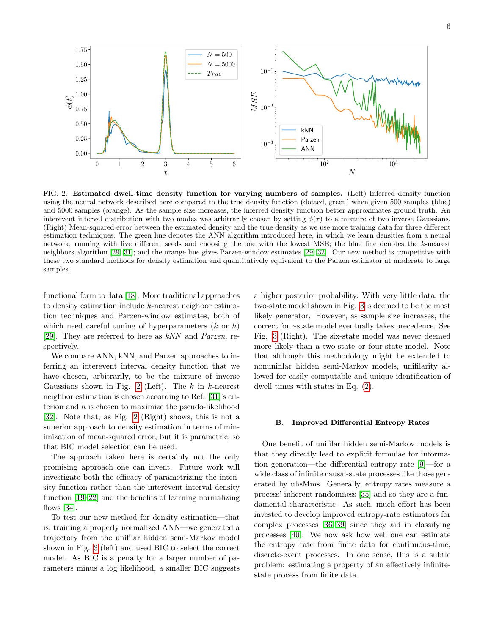

<span id="page-5-0"></span>FIG. 2. Estimated dwell-time density function for varying numbers of samples. (Left) Inferred density function using the neural network described here compared to the true density function (dotted, green) when given 500 samples (blue) and 5000 samples (orange). As the sample size increases, the inferred density function better approximates ground truth. An interevent interval distribution with two modes was arbitrarily chosen by setting  $\phi(\tau)$  to a mixture of two inverse Gaussians. (Right) Mean-squared error between the estimated density and the true density as we use more training data for three different estimation techniques. The green line denotes the ANN algorithm introduced here, in which we learn densities from a neural network, running with five different seeds and choosing the one with the lowest MSE; the blue line denotes the k-nearest neighbors algorithm [\[29,](#page-10-0) [31\]](#page-10-13); and the orange line gives Parzen-window estimates [\[29,](#page-10-0) [32\]](#page-10-14). Our new method is competitive with these two standard methods for density estimation and quantitatively equivalent to the Parzen estimator at moderate to large samples.

functional form to data [\[18\]](#page-10-1). More traditional approaches to density estimation include k-nearest neighbor estimation techniques and Parzen-window estimates, both of which need careful tuning of hyperparameters  $(k \text{ or } h)$ [\[29\]](#page-10-0). They are referred to here as kNN and Parzen, respectively.

We compare ANN, kNN, and Parzen approaches to inferring an interevent interval density function that we have chosen, arbitrarily, to be the mixture of inverse Gaussians shown in Fig. [2](#page-5-0) (Left). The  $k$  in  $k$ -nearest neighbor estimation is chosen according to Ref. [\[31\]](#page-10-13)'s criterion and h is chosen to maximize the pseudo-likelihood [\[32\]](#page-10-14). Note that, as Fig. [2](#page-5-0) (Right) shows, this is not a superior approach to density estimation in terms of minimization of mean-squared error, but it is parametric, so that BIC model selection can be used.

The approach taken here is certainly not the only promising approach one can invent. Future work will investigate both the efficacy of parametrizing the intensity function rather than the interevent interval density function [\[19–](#page-10-2)[22\]](#page-10-6) and the benefits of learning normalizing flows  $[34]$ .

To test our new method for density estimation—that is, training a properly normalized ANN—we generated a trajectory from the unifilar hidden semi-Markov model shown in Fig. [3](#page-6-0) (left) and used BIC to select the correct model. As BIC is a penalty for a larger number of parameters minus a log likelihood, a smaller BIC suggests

a higher posterior probability. With very little data, the two-state model shown in Fig. [3](#page-6-0) is deemed to be the most likely generator. However, as sample size increases, the correct four-state model eventually takes precedence. See Fig. [3](#page-6-0) (Right). The six-state model was never deemed more likely than a two-state or four-state model. Note that although this methodology might be extended to nonunifilar hidden semi-Markov models, unifilarity allowed for easily computable and unique identification of dwell times with states in Eq. [\(2\)](#page-4-1).

#### B. Improved Differential Entropy Rates

One benefit of unifilar hidden semi-Markov models is that they directly lead to explicit formulae for information generation—the differential entropy rate [\[9\]](#page-9-8)—for a wide class of infinite causal-state processes like those generated by uhsMms. Generally, entropy rates measure a process' inherent randomness [\[35\]](#page-10-16) and so they are a fundamental characteristic. As such, much effort has been invested to develop improved entropy-rate estimators for complex processes [\[36–](#page-10-17)[39\]](#page-10-18) since they aid in classifying processes [\[40\]](#page-10-19). We now ask how well one can estimate the entropy rate from finite data for continuous-time, discrete-event processes. In one sense, this is a subtle problem: estimating a property of an effectively infinitestate process from finite data.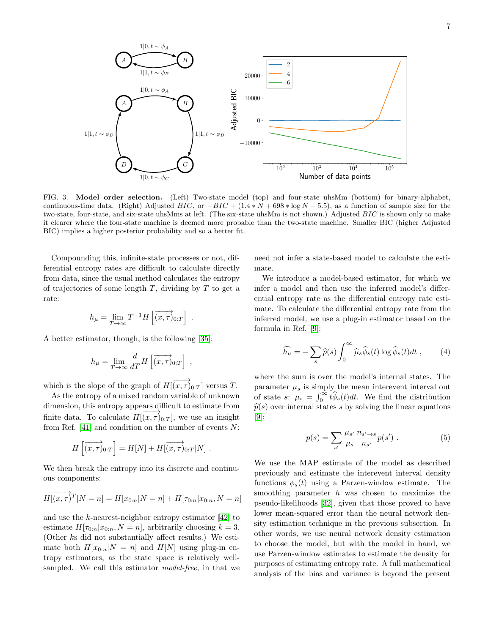

<span id="page-6-0"></span>FIG. 3. Model order selection. (Left) Two-state model (top) and four-state uhsMm (bottom) for binary-alphabet, continuous-time data. (Right) Adjusted BIC, or  $-BIC + (1.4*N + 698*N = 5.5)$ , as a function of sample size for the two-state, four-state, and six-state uhsMms at left. (The six-state uhsMm is not shown.) Adjusted BIC is shown only to make it clearer where the four-state machine is deemed more probable than the two-state machine. Smaller BIC (higher Adjusted BIC) implies a higher posterior probability and so a better fit.

Compounding this, infinite-state processes or not, differential entropy rates are difficult to calculate directly from data, since the usual method calculates the entropy of trajectories of some length  $T$ , dividing by  $T$  to get a rate:

$$
h_{\mu} = \lim_{T \to \infty} T^{-1} H \left[ \overrightarrow{(x, \tau)}_{0:T} \right] .
$$

A better estimator, though, is the following [\[35\]](#page-10-16):

$$
h_{\mu} = \lim_{T \to \infty} \frac{d}{dT} H\left[ \overrightarrow{(x, \tau)}_{0:T} \right] ,
$$

which is the slope of the graph of  $H(\overrightarrow{(x,\tau)}_{0:T}]$  versus T.

As the entropy of a mixed random variable of unknown dimension, this entropy appears difficult to estimate from finite data. To calculate  $H[\overrightarrow{(x,\tau)}_{0:T}]$ , we use an insight from Ref.  $[41]$  and condition on the number of events  $N$ :

$$
H\left[\overrightarrow{(x,\tau)}_{0:T}\right] = H[N] + H\left[\overrightarrow{(x,\tau)}_{0:T}|N\right].
$$

We then break the entropy into its discrete and continuous components:

$$
H[(\overrightarrow{x,\tau})^T | N = n] = H[x_{0:n} | N = n] + H[\tau_{0:n} | x_{0:n}, N = n]
$$

and use the k-nearest-neighbor entropy estimator [\[42\]](#page-10-21) to estimate  $H[\tau_{0:n}|x_{0:n}, N = n]$ , arbitrarily choosing  $k = 3$ . (Other ks did not substantially affect results.) We estimate both  $H[x_{0:n}|N = n]$  and  $H[N]$  using plug-in entropy estimators, as the state space is relatively wellsampled. We call this estimator *model-free*, in that we need not infer a state-based model to calculate the estimate.

We introduce a model-based estimator, for which we infer a model and then use the inferred model's differential entropy rate as the differential entropy rate estimate. To calculate the differential entropy rate from the inferred model, we use a plug-in estimator based on the formula in Ref. [\[9\]](#page-9-8):

<span id="page-6-1"></span>
$$
\widehat{h_{\mu}} = -\sum_{s} \widehat{p}(s) \int_{0}^{\infty} \widehat{\mu}_{s} \widehat{\phi}_{s}(t) \log \widehat{\phi}_{s}(t) dt , \qquad (4)
$$

where the sum is over the model's internal states. The parameter  $\mu_s$  is simply the mean intervent interval out of state s:  $\mu_s = \int_0^\infty t \hat{\phi}_s(t) dt$ . We find the distribution  $\widehat{p}(s)$  over internal states s by solving the linear equations [\[9\]](#page-9-8):

$$
p(s) = \sum_{s'} \frac{\mu_{s'}}{\mu_s} \frac{n_{s' \to s}}{n_{s'}} p(s') . \tag{5}
$$

We use the MAP estimate of the model as described previously and estimate the interevent interval density functions  $\phi_s(t)$  using a Parzen-window estimate. The smoothing parameter  $h$  was chosen to maximize the pseudo-likelihoods [\[32\]](#page-10-14), given that those proved to have lower mean-squared error than the neural network density estimation technique in the previous subsection. In other words, we use neural network density estimation to choose the model, but with the model in hand, we use Parzen-window estimates to estimate the density for purposes of estimating entropy rate. A full mathematical analysis of the bias and variance is beyond the present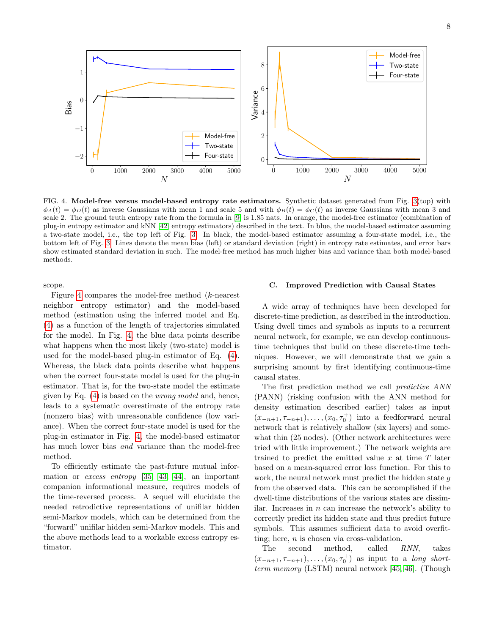

<span id="page-7-0"></span>FIG. 4. Model-free versus model-based entropy rate estimators. Synthetic dataset generated from Fig. [3\(](#page-6-0)top) with  $\phi_A(t) = \phi_D(t)$  as inverse Gaussians with mean 1 and scale 5 and with  $\phi_B(t) = \phi_C(t)$  as inverse Gaussians with mean 3 and scale 2. The ground truth entropy rate from the formula in [\[9\]](#page-9-8) is 1.85 nats. In orange, the model-free estimator (combination of plug-in entropy estimator and kNN [\[42\]](#page-10-21) entropy estimators) described in the text. In blue, the model-based estimator assuming a two-state model, i.e., the top left of Fig. [3.](#page-6-0) In black, the model-based estimator assuming a four-state model, i.e., the bottom left of Fig. [3.](#page-6-0) Lines denote the mean bias (left) or standard deviation (right) in entropy rate estimates, and error bars show estimated standard deviation in such. The model-free method has much higher bias and variance than both model-based methods.

scope.

Figure [4](#page-7-0) compares the model-free method (k-nearest neighbor entropy estimator) and the model-based method (estimation using the inferred model and Eq. [\(4\)](#page-6-1) as a function of the length of trajectories simulated for the model. In Fig. [4,](#page-7-0) the blue data points describe what happens when the most likely (two-state) model is used for the model-based plug-in estimator of Eq. [\(4\)](#page-6-1). Whereas, the black data points describe what happens when the correct four-state model is used for the plug-in estimator. That is, for the two-state model the estimate given by Eq. [\(4\)](#page-6-1) is based on the wrong model and, hence, leads to a systematic overestimate of the entropy rate (nonzero bias) with unreasonable confidence (low variance). When the correct four-state model is used for the plug-in estimator in Fig. [4,](#page-7-0) the model-based estimator has much lower bias *and* variance than the model-free method.

To efficiently estimate the past-future mutual information or excess entropy [\[35,](#page-10-16) [43,](#page-10-22) [44\]](#page-10-23), an important companion informational measure, requires models of the time-reversed process. A sequel will elucidate the needed retrodictive representations of unifilar hidden semi-Markov models, which can be determined from the "forward" unifilar hidden semi-Markov models. This and the above methods lead to a workable excess entropy estimator.

## C. Improved Prediction with Causal States

A wide array of techniques have been developed for discrete-time prediction, as described in the introduction. Using dwell times and symbols as inputs to a recurrent neural network, for example, we can develop continuoustime techniques that build on these discrete-time techniques. However, we will demonstrate that we gain a surprising amount by first identifying continuous-time causal states.

The first prediction method we call predictive ANN (PANN) (risking confusion with the ANN method for density estimation described earlier) takes as input  $(x_{-n+1}, \tau_{-n+1}), \ldots, (x_0, \tau_0^+)$  into a feedforward neural network that is relatively shallow (six layers) and somewhat thin (25 nodes). (Other network architectures were tried with little improvement.) The network weights are trained to predict the emitted value  $x$  at time  $T$  later based on a mean-squared error loss function. For this to work, the neural network must predict the hidden state g from the observed data. This can be accomplished if the dwell-time distributions of the various states are dissimilar. Increases in  $n$  can increase the network's ability to correctly predict its hidden state and thus predict future symbols. This assumes sufficient data to avoid overfitting; here,  $n$  is chosen via cross-validation.

The second method, called RNN, takes  $(x_{-n+1}, \tau_{-n+1}), \ldots, (x_0, \tau_0^+)$  as input to a long shortterm memory (LSTM) neural network [\[45,](#page-10-24) [46\]](#page-10-25). (Though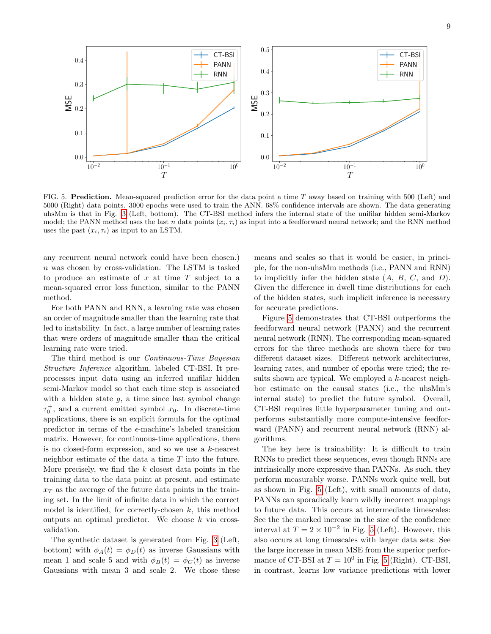

<span id="page-8-0"></span>FIG. 5. Prediction. Mean-squared prediction error for the data point a time T away based on training with 500 (Left) and 5000 (Right) data points. 3000 epochs were used to train the ANN. 68% confidence intervals are shown. The data generating uhsMm is that in Fig. [3](#page-6-0) (Left, bottom). The CT-BSI method infers the internal state of the unifilar hidden semi-Markov model; the PANN method uses the last n data points  $(x_i, \tau_i)$  as input into a feedforward neural network; and the RNN method uses the past  $(x_i, \tau_i)$  as input to an LSTM.

any recurrent neural network could have been chosen.) n was chosen by cross-validation. The LSTM is tasked to produce an estimate of  $x$  at time  $T$  subject to a mean-squared error loss function, similar to the PANN method.

For both PANN and RNN, a learning rate was chosen an order of magnitude smaller than the learning rate that led to instability. In fact, a large number of learning rates that were orders of magnitude smaller than the critical learning rate were tried.

The third method is our Continuous-Time Bayesian Structure Inference algorithm, labeled CT-BSI. It preprocesses input data using an inferred unifilar hidden semi-Markov model so that each time step is associated with a hidden state  $q$ , a time since last symbol change  $\tau_0^+$ , and a current emitted symbol  $x_0$ . In discrete-time applications, there is an explicit formula for the optimal predictor in terms of the  $\epsilon$ -machine's labeled transition matrix. However, for continuous-time applications, there is no closed-form expression, and so we use a k-nearest neighbor estimate of the data a time T into the future. More precisely, we find the  $k$  closest data points in the training data to the data point at present, and estimate  $x_T$  as the average of the future data points in the training set. In the limit of infinite data in which the correct model is identified, for correctly-chosen  $k$ , this method outputs an optimal predictor. We choose  $k$  via crossvalidation.

The synthetic dataset is generated from Fig. [3](#page-6-0) (Left, bottom) with  $\phi_A(t) = \phi_D(t)$  as inverse Gaussians with mean 1 and scale 5 and with  $\phi_B(t) = \phi_C(t)$  as inverse Gaussians with mean 3 and scale 2. We chose these means and scales so that it would be easier, in principle, for the non-uhsMm methods (i.e., PANN and RNN) to implicitly infer the hidden state  $(A, B, C, \text{ and } D)$ . Given the difference in dwell time distributions for each of the hidden states, such implicit inference is necessary for accurate predictions.

Figure [5](#page-8-0) demonstrates that CT-BSI outperforms the feedforward neural network (PANN) and the recurrent neural network (RNN). The corresponding mean-squared errors for the three methods are shown there for two different dataset sizes. Different network architectures, learning rates, and number of epochs were tried; the results shown are typical. We employed a k-nearest neighbor estimate on the causal states (i.e., the uhsMm's internal state) to predict the future symbol. Overall, CT-BSI requires little hyperparameter tuning and outperforms substantially more compute-intensive feedforward (PANN) and recurrent neural network (RNN) algorithms.

The key here is trainability: It is difficult to train RNNs to predict these sequences, even though RNNs are intrinsically more expressive than PANNs. As such, they perform measurably worse. PANNs work quite well, but as shown in Fig. [5](#page-8-0) (Left), with small amounts of data, PANNs can sporadically learn wildly incorrect mappings to future data. This occurs at intermediate timescales: See the the marked increase in the size of the confidence interval at  $T = 2 \times 10^{-2}$  in Fig. [5](#page-8-0) (Left). However, this also occurs at long timescales with larger data sets: See the large increase in mean MSE from the superior performance of CT-BSI at  $T = 10^0$  in Fig. [5](#page-8-0) (Right). CT-BSI, in contrast, learns low variance predictions with lower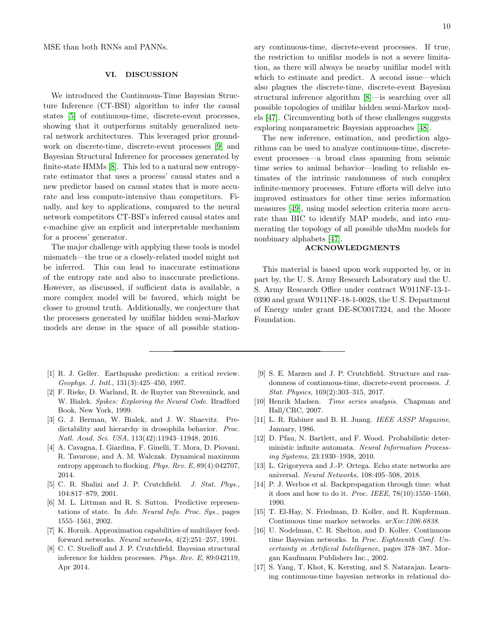MSE than both RNNs and PANNs.

#### <span id="page-9-9"></span>VI. DISCUSSION

We introduced the Continuous-Time Bayesian Structure Inference (CT-BSI) algorithm to infer the causal states [\[5\]](#page-9-4) of continuous-time, discrete-event processes, showing that it outperforms suitably generalized neural network architectures. This leveraged prior groundwork on discrete-time, discrete-event processes [\[9\]](#page-9-8) and Bayesian Structural Inference for processes generated by finite-state HMMs [\[8\]](#page-9-7). This led to a natural new entropyrate estimator that uses a process' causal states and a new predictor based on causal states that is more accurate and less compute-intensive than competitors. Finally, and key to applications, compared to the neural network competitors CT-BSI's inferred causal states and  $\epsilon$ -machine give an explicit and interpretable mechanism for a process' generator.

The major challenge with applying these tools is model mismatch—the true or a closely-related model might not be inferred. This can lead to inaccurate estimations of the entropy rate and also to inaccurate predictions. However, as discussed, if sufficient data is available, a more complex model will be favored, which might be closer to ground truth. Additionally, we conjecture that the processes generated by unifilar hidden semi-Markov models are dense in the space of all possible station-

- <span id="page-9-0"></span>[1] R. J. Geller. Earthquake prediction: a critical review. Geophys. J. Intl., 131(3):425–450, 1997.
- <span id="page-9-1"></span>[2] F. Rieke, D. Warland, R. de Ruyter van Steveninck, and W. Bialek. Spikes: Exploring the Neural Code. Bradford Book, New York, 1999.
- <span id="page-9-2"></span>[3] G. J. Berman, W. Bialek, and J. W. Shaevitz. Predictability and hierarchy in drosophila behavior. Proc. Natl. Acad. Sci. USA, 113(42):11943–11948, 2016.
- <span id="page-9-3"></span>[4] A. Cavagna, I. Giardina, F. Ginelli, T. Mora, D. Piovani, R. Tavarone, and A. M. Walczak. Dynamical maximum entropy approach to flocking. Phys. Rev. E, 89(4):042707, 2014.
- <span id="page-9-4"></span>[5] C. R. Shalizi and J. P. Crutchfield. J. Stat. Phys., 104:817–879, 2001.
- <span id="page-9-5"></span>[6] M. L. Littman and R. S. Sutton. Predictive representations of state. In Adv. Neural Info. Proc. Sys., pages 1555–1561, 2002.
- <span id="page-9-6"></span>[7] K. Hornik. Approximation capabilities of multilayer feedforward networks. Neural networks, 4(2):251–257, 1991.
- <span id="page-9-7"></span>[8] C. C. Strelioff and J. P. Crutchfield. Bayesian structural inference for hidden processes. Phys. Rev. E, 89:042119, Apr 2014.
- <span id="page-9-8"></span>[9] S. E. Marzen and J. P. Crutchfield. Structure and randomness of continuous-time, discrete-event processes. J. Stat. Physics, 169(2):303–315, 2017.
- <span id="page-9-10"></span>[10] Henrik Madsen. Time series analysis. Chapman and Hall/CRC, 2007.
- <span id="page-9-11"></span>[11] L. R. Rabiner and B. H. Juang. IEEE ASSP Magazine, January, 1986.
- <span id="page-9-12"></span>[12] D. Pfau, N. Bartlett, and F. Wood. Probabilistic deterministic infinite automata. Neural Information Processing Systems, 23:1930–1938, 2010.
- <span id="page-9-13"></span>[13] L. Grigoryeva and J.-P. Ortega. Echo state networks are universal. Neural Networks, 108:495–508, 2018.
- <span id="page-9-14"></span>[14] P. J. Werbos et al. Backpropagation through time: what it does and how to do it. Proc. IEEE, 78(10):1550–1560, 1990.
- <span id="page-9-15"></span>[15] T. El-Hay, N. Friedman, D. Koller, and R. Kupferman. Continuous time markov networks. arXiv:1206.6838.
- [16] U. Nodelman, C. R. Shelton, and D. Koller. Continuous time Bayesian networks. In Proc. Eighteenth Conf. Uncertainty in Artificial Intelligence, pages 378–387. Morgan Kaufmann Publishers Inc., 2002.
- <span id="page-9-16"></span>[17] S. Yang, T. Khot, K. Kersting, and S. Natarajan. Learning continuous-time bayesian networks in relational do-

ary continuous-time, discrete-event processes. If true, the restriction to unifilar models is not a severe limitation, as there will always be nearby unifilar model with which to estimate and predict. A second issue—which also plagues the discrete-time, discrete-event Bayesian structural inference algorithm [\[8\]](#page-9-7)—is searching over all possible topologies of unifilar hidden semi-Markov models [\[47\]](#page-10-26). Circumventing both of these challenges suggests exploring nonparametric Bayesian approaches [\[48\]](#page-10-27).

The new inference, estimation, and prediction algorithms can be used to analyze continuous-time, discreteevent processes—a broad class spanning from seismic time series to animal behavior—leading to reliable estimates of the intrinsic randomness of such complex infinite-memory processes. Future efforts will delve into improved estimators for other time series information measures [\[49\]](#page-10-28), using model selection criteria more accurate than BIC to identify MAP models, and into enumerating the topology of all possible uhsMm models for nonbinary alphabets [\[47\]](#page-10-26).

# ACKNOWLEDGMENTS

This material is based upon work supported by, or in part by, the U. S. Army Research Laboratory and the U. S. Army Research Office under contract W911NF-13-1- 0390 and grant W911NF-18-1-0028, the U.S. Department of Energy under grant DE-SC0017324, and the Moore Foundation.